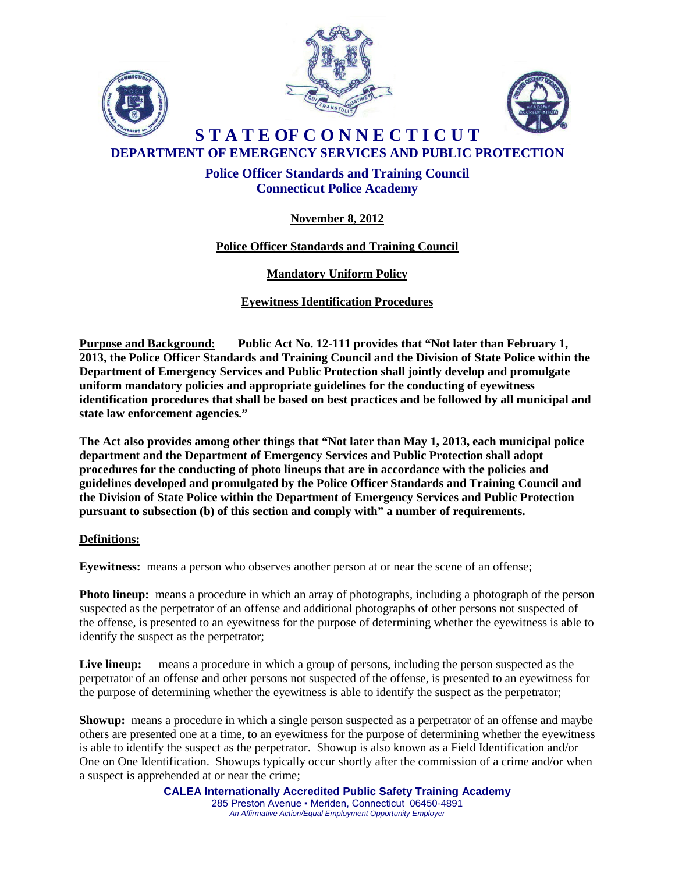





**S T A T E OF C O N N E C T I C U T DEPARTMENT OF EMERGENCY SERVICES AND PUBLIC PROTECTION**

# **Police Officer Standards and Training Council Connecticut Police Academy**

# **November 8, 2012**

# **Police Officer Standards and Training Council**

# **Mandatory Uniform Policy**

**Eyewitness Identification Procedures**

**Purpose and Background: Public Act No. 12-111 provides that "Not later than February 1, 2013, the Police Officer Standards and Training Council and the Division of State Police within the Department of Emergency Services and Public Protection shall jointly develop and promulgate uniform mandatory policies and appropriate guidelines for the conducting of eyewitness identification procedures that shall be based on best practices and be followed by all municipal and state law enforcement agencies."**

**The Act also provides among other things that "Not later than May 1, 2013, each municipal police department and the Department of Emergency Services and Public Protection shall adopt procedures for the conducting of photo lineups that are in accordance with the policies and guidelines developed and promulgated by the Police Officer Standards and Training Council and the Division of State Police within the Department of Emergency Services and Public Protection pursuant to subsection (b) of this section and comply with" a number of requirements.**

### **Definitions:**

**Eyewitness:** means a person who observes another person at or near the scene of an offense;

**Photo lineup:** means a procedure in which an array of photographs, including a photograph of the person suspected as the perpetrator of an offense and additional photographs of other persons not suspected of the offense, is presented to an eyewitness for the purpose of determining whether the eyewitness is able to identify the suspect as the perpetrator;

Live lineup: means a procedure in which a group of persons, including the person suspected as the perpetrator of an offense and other persons not suspected of the offense, is presented to an eyewitness for the purpose of determining whether the eyewitness is able to identify the suspect as the perpetrator;

**Showup:** means a procedure in which a single person suspected as a perpetrator of an offense and maybe others are presented one at a time, to an eyewitness for the purpose of determining whether the eyewitness is able to identify the suspect as the perpetrator. Showup is also known as a Field Identification and/or One on One Identification. Showups typically occur shortly after the commission of a crime and/or when a suspect is apprehended at or near the crime;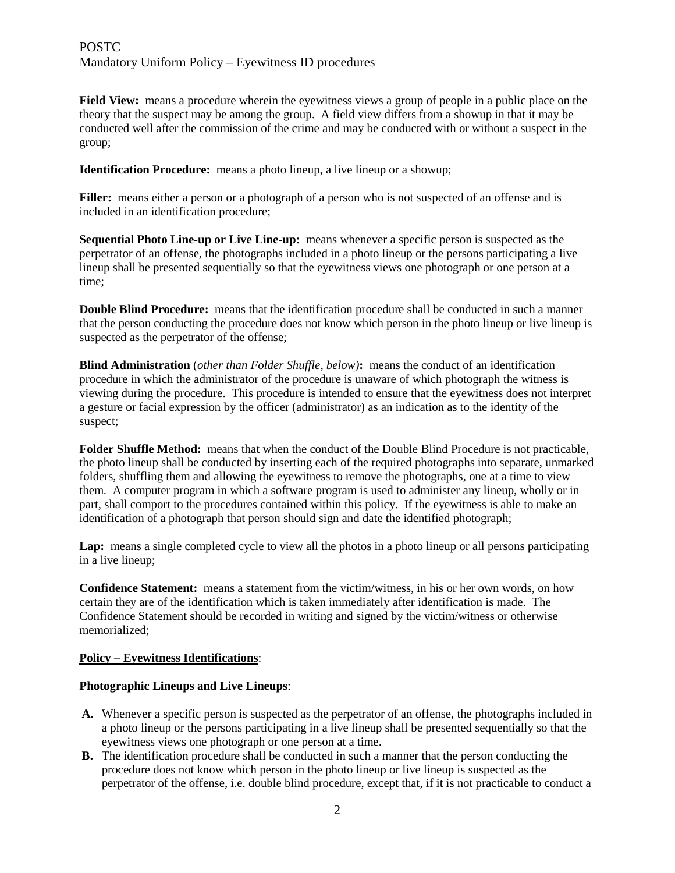### **POSTC** Mandatory Uniform Policy – Eyewitness ID procedures

**Field View:** means a procedure wherein the eyewitness views a group of people in a public place on the theory that the suspect may be among the group. A field view differs from a showup in that it may be conducted well after the commission of the crime and may be conducted with or without a suspect in the group;

**Identification Procedure:** means a photo lineup, a live lineup or a showup;

**Filler:** means either a person or a photograph of a person who is not suspected of an offense and is included in an identification procedure;

**Sequential Photo Line-up or Live Line-up:** means whenever a specific person is suspected as the perpetrator of an offense, the photographs included in a photo lineup or the persons participating a live lineup shall be presented sequentially so that the eyewitness views one photograph or one person at a time;

**Double Blind Procedure:** means that the identification procedure shall be conducted in such a manner that the person conducting the procedure does not know which person in the photo lineup or live lineup is suspected as the perpetrator of the offense;

**Blind Administration** (*other than Folder Shuffle, below)***:** means the conduct of an identification procedure in which the administrator of the procedure is unaware of which photograph the witness is viewing during the procedure. This procedure is intended to ensure that the eyewitness does not interpret a gesture or facial expression by the officer (administrator) as an indication as to the identity of the suspect;

**Folder Shuffle Method:** means that when the conduct of the Double Blind Procedure is not practicable, the photo lineup shall be conducted by inserting each of the required photographs into separate, unmarked folders, shuffling them and allowing the eyewitness to remove the photographs, one at a time to view them. A computer program in which a software program is used to administer any lineup, wholly or in part, shall comport to the procedures contained within this policy. If the eyewitness is able to make an identification of a photograph that person should sign and date the identified photograph;

Lap: means a single completed cycle to view all the photos in a photo lineup or all persons participating in a live lineup;

**Confidence Statement:** means a statement from the victim/witness, in his or her own words, on how certain they are of the identification which is taken immediately after identification is made. The Confidence Statement should be recorded in writing and signed by the victim/witness or otherwise memorialized;

### **Policy – Eyewitness Identifications**:

#### **Photographic Lineups and Live Lineups**:

- **A.** Whenever a specific person is suspected as the perpetrator of an offense, the photographs included in a photo lineup or the persons participating in a live lineup shall be presented sequentially so that the eyewitness views one photograph or one person at a time.
- **B.** The identification procedure shall be conducted in such a manner that the person conducting the procedure does not know which person in the photo lineup or live lineup is suspected as the perpetrator of the offense, i.e. double blind procedure, except that, if it is not practicable to conduct a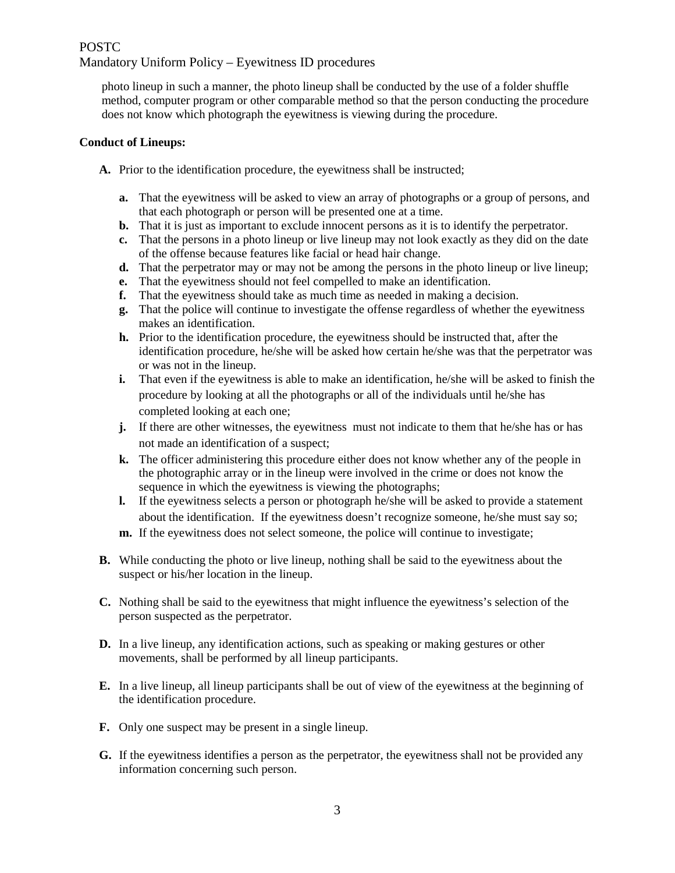### POSTC Mandatory Uniform Policy – Eyewitness ID procedures

photo lineup in such a manner, the photo lineup shall be conducted by the use of a folder shuffle method, computer program or other comparable method so that the person conducting the procedure does not know which photograph the eyewitness is viewing during the procedure.

### **Conduct of Lineups:**

- **A.** Prior to the identification procedure, the eyewitness shall be instructed;
	- **a.** That the eyewitness will be asked to view an array of photographs or a group of persons, and that each photograph or person will be presented one at a time.
	- **b.** That it is just as important to exclude innocent persons as it is to identify the perpetrator.
	- **c.** That the persons in a photo lineup or live lineup may not look exactly as they did on the date of the offense because features like facial or head hair change.
	- **d.** That the perpetrator may or may not be among the persons in the photo lineup or live lineup;
	- **e.** That the eyewitness should not feel compelled to make an identification.
	- **f.** That the eyewitness should take as much time as needed in making a decision.
	- **g.** That the police will continue to investigate the offense regardless of whether the eyewitness makes an identification.
	- **h.** Prior to the identification procedure, the eyewitness should be instructed that, after the identification procedure, he/she will be asked how certain he/she was that the perpetrator was or was not in the lineup.
	- **i.** That even if the eyewitness is able to make an identification, he/she will be asked to finish the procedure by looking at all the photographs or all of the individuals until he/she has completed looking at each one;
	- **j.** If there are other witnesses, the eyewitness must not indicate to them that he/she has or has not made an identification of a suspect;
	- **k.** The officer administering this procedure either does not know whether any of the people in the photographic array or in the lineup were involved in the crime or does not know the sequence in which the eyewitness is viewing the photographs;
	- **l.** If the eyewitness selects a person or photograph he/she will be asked to provide a statement about the identification. If the eyewitness doesn't recognize someone, he/she must say so;
	- **m.** If the eyewitness does not select someone, the police will continue to investigate;
- **B.** While conducting the photo or live lineup, nothing shall be said to the eyewitness about the suspect or his/her location in the lineup.
- **C.** Nothing shall be said to the eyewitness that might influence the eyewitness's selection of the person suspected as the perpetrator.
- **D.** In a live lineup, any identification actions, such as speaking or making gestures or other movements, shall be performed by all lineup participants.
- **E.** In a live lineup, all lineup participants shall be out of view of the eyewitness at the beginning of the identification procedure.
- **F.** Only one suspect may be present in a single lineup.
- **G.** If the eyewitness identifies a person as the perpetrator, the eyewitness shall not be provided any information concerning such person.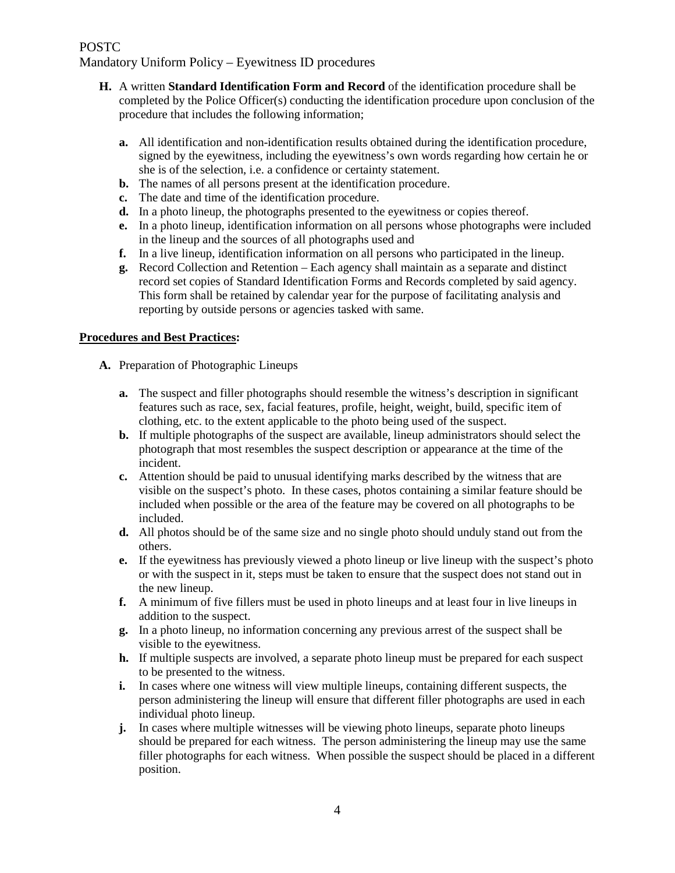# POSTC

Mandatory Uniform Policy – Eyewitness ID procedures

- **H.** A written **Standard Identification Form and Record** of the identification procedure shall be completed by the Police Officer(s) conducting the identification procedure upon conclusion of the procedure that includes the following information;
	- **a.** All identification and non-identification results obtained during the identification procedure, signed by the eyewitness, including the eyewitness's own words regarding how certain he or she is of the selection, i.e. a confidence or certainty statement.
	- **b.** The names of all persons present at the identification procedure.
	- **c.** The date and time of the identification procedure.
	- **d.** In a photo lineup, the photographs presented to the eyewitness or copies thereof.
	- **e.** In a photo lineup, identification information on all persons whose photographs were included in the lineup and the sources of all photographs used and
	- **f.** In a live lineup, identification information on all persons who participated in the lineup.
	- **g.** Record Collection and Retention Each agency shall maintain as a separate and distinct record set copies of Standard Identification Forms and Records completed by said agency. This form shall be retained by calendar year for the purpose of facilitating analysis and reporting by outside persons or agencies tasked with same.

#### **Procedures and Best Practices:**

- **A.** Preparation of Photographic Lineups
	- **a.** The suspect and filler photographs should resemble the witness's description in significant features such as race, sex, facial features, profile, height, weight, build, specific item of clothing, etc. to the extent applicable to the photo being used of the suspect.
	- **b.** If multiple photographs of the suspect are available, lineup administrators should select the photograph that most resembles the suspect description or appearance at the time of the incident.
	- **c.** Attention should be paid to unusual identifying marks described by the witness that are visible on the suspect's photo. In these cases, photos containing a similar feature should be included when possible or the area of the feature may be covered on all photographs to be included.
	- **d.** All photos should be of the same size and no single photo should unduly stand out from the others.
	- **e.** If the eyewitness has previously viewed a photo lineup or live lineup with the suspect's photo or with the suspect in it, steps must be taken to ensure that the suspect does not stand out in the new lineup.
	- **f.** A minimum of five fillers must be used in photo lineups and at least four in live lineups in addition to the suspect.
	- **g.** In a photo lineup, no information concerning any previous arrest of the suspect shall be visible to the eyewitness.
	- **h.** If multiple suspects are involved, a separate photo lineup must be prepared for each suspect to be presented to the witness.
	- **i.** In cases where one witness will view multiple lineups, containing different suspects, the person administering the lineup will ensure that different filler photographs are used in each individual photo lineup.
	- **j.** In cases where multiple witnesses will be viewing photo lineups, separate photo lineups should be prepared for each witness. The person administering the lineup may use the same filler photographs for each witness. When possible the suspect should be placed in a different position.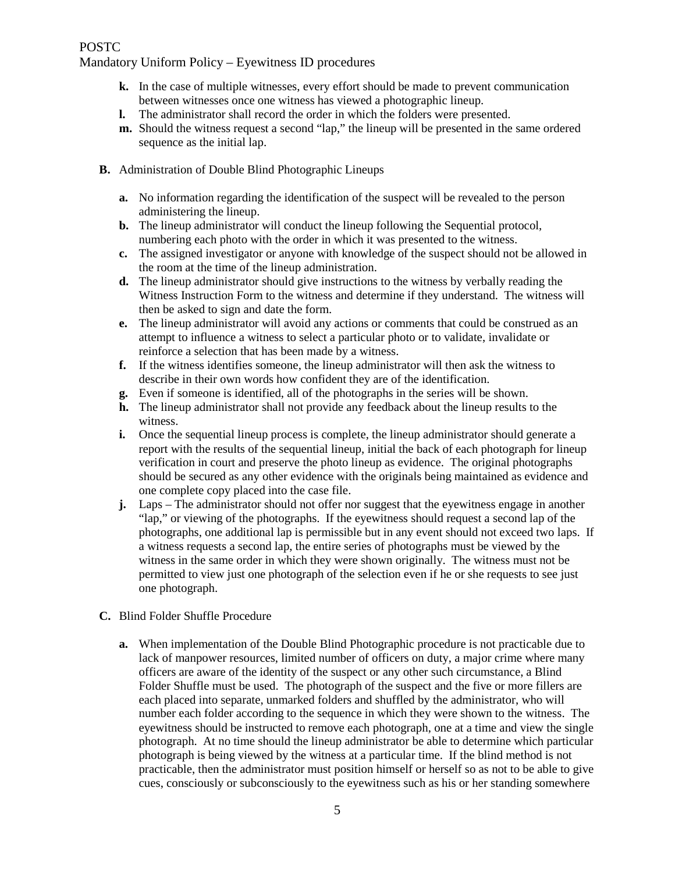### POSTC

### Mandatory Uniform Policy – Eyewitness ID procedures

- **k.** In the case of multiple witnesses, every effort should be made to prevent communication between witnesses once one witness has viewed a photographic lineup.
- **l.** The administrator shall record the order in which the folders were presented.
- **m.** Should the witness request a second "lap," the lineup will be presented in the same ordered sequence as the initial lap.
- **B.** Administration of Double Blind Photographic Lineups
	- **a.** No information regarding the identification of the suspect will be revealed to the person administering the lineup.
	- **b.** The lineup administrator will conduct the lineup following the Sequential protocol, numbering each photo with the order in which it was presented to the witness.
	- **c.** The assigned investigator or anyone with knowledge of the suspect should not be allowed in the room at the time of the lineup administration.
	- **d.** The lineup administrator should give instructions to the witness by verbally reading the Witness Instruction Form to the witness and determine if they understand. The witness will then be asked to sign and date the form.
	- **e.** The lineup administrator will avoid any actions or comments that could be construed as an attempt to influence a witness to select a particular photo or to validate, invalidate or reinforce a selection that has been made by a witness.
	- **f.** If the witness identifies someone, the lineup administrator will then ask the witness to describe in their own words how confident they are of the identification.
	- **g.** Even if someone is identified, all of the photographs in the series will be shown.
	- **h.** The lineup administrator shall not provide any feedback about the lineup results to the witness.
	- **i.** Once the sequential lineup process is complete, the lineup administrator should generate a report with the results of the sequential lineup, initial the back of each photograph for lineup verification in court and preserve the photo lineup as evidence. The original photographs should be secured as any other evidence with the originals being maintained as evidence and one complete copy placed into the case file.
	- **j.** Laps The administrator should not offer nor suggest that the eyewitness engage in another "lap," or viewing of the photographs. If the eyewitness should request a second lap of the photographs, one additional lap is permissible but in any event should not exceed two laps. If a witness requests a second lap, the entire series of photographs must be viewed by the witness in the same order in which they were shown originally. The witness must not be permitted to view just one photograph of the selection even if he or she requests to see just one photograph.
- **C.** Blind Folder Shuffle Procedure
	- **a.** When implementation of the Double Blind Photographic procedure is not practicable due to lack of manpower resources, limited number of officers on duty, a major crime where many officers are aware of the identity of the suspect or any other such circumstance, a Blind Folder Shuffle must be used. The photograph of the suspect and the five or more fillers are each placed into separate, unmarked folders and shuffled by the administrator, who will number each folder according to the sequence in which they were shown to the witness. The eyewitness should be instructed to remove each photograph, one at a time and view the single photograph. At no time should the lineup administrator be able to determine which particular photograph is being viewed by the witness at a particular time. If the blind method is not practicable, then the administrator must position himself or herself so as not to be able to give cues, consciously or subconsciously to the eyewitness such as his or her standing somewhere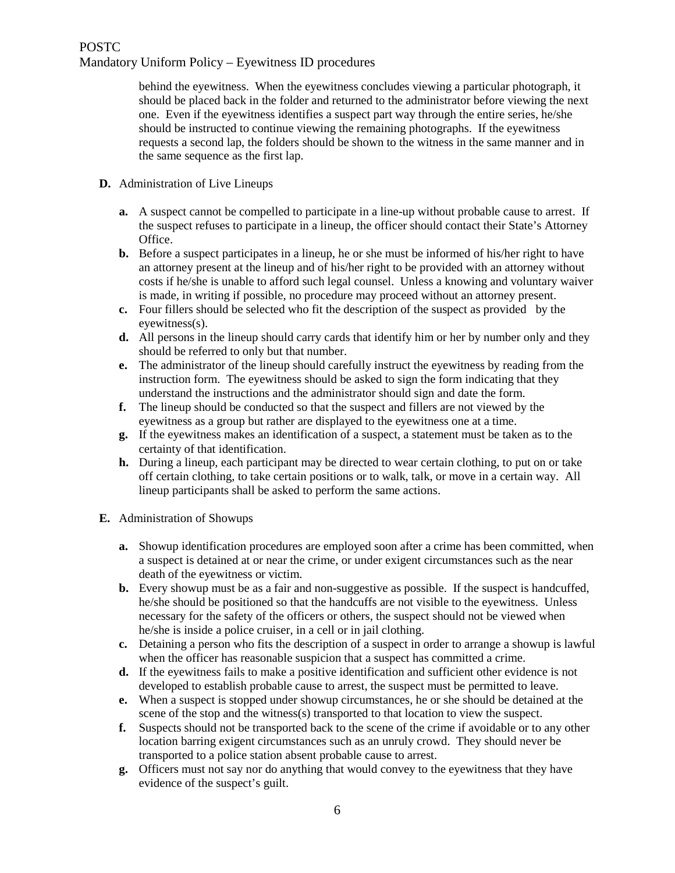# POSTC Mandatory Uniform Policy – Eyewitness ID procedures

behind the eyewitness. When the eyewitness concludes viewing a particular photograph, it should be placed back in the folder and returned to the administrator before viewing the next one. Even if the eyewitness identifies a suspect part way through the entire series, he/she should be instructed to continue viewing the remaining photographs. If the eyewitness requests a second lap, the folders should be shown to the witness in the same manner and in the same sequence as the first lap.

- **D.** Administration of Live Lineups
	- **a.** A suspect cannot be compelled to participate in a line-up without probable cause to arrest. If the suspect refuses to participate in a lineup, the officer should contact their State's Attorney Office.
	- **b.** Before a suspect participates in a lineup, he or she must be informed of his/her right to have an attorney present at the lineup and of his/her right to be provided with an attorney without costs if he/she is unable to afford such legal counsel. Unless a knowing and voluntary waiver is made, in writing if possible, no procedure may proceed without an attorney present.
	- **c.** Four fillers should be selected who fit the description of the suspect as provided by the eyewitness(s).
	- **d.** All persons in the lineup should carry cards that identify him or her by number only and they should be referred to only but that number.
	- **e.** The administrator of the lineup should carefully instruct the eyewitness by reading from the instruction form. The eyewitness should be asked to sign the form indicating that they understand the instructions and the administrator should sign and date the form.
	- **f.** The lineup should be conducted so that the suspect and fillers are not viewed by the eyewitness as a group but rather are displayed to the eyewitness one at a time.
	- **g.** If the eyewitness makes an identification of a suspect, a statement must be taken as to the certainty of that identification.
	- **h.** During a lineup, each participant may be directed to wear certain clothing, to put on or take off certain clothing, to take certain positions or to walk, talk, or move in a certain way. All lineup participants shall be asked to perform the same actions.
- **E.** Administration of Showups
	- **a.** Showup identification procedures are employed soon after a crime has been committed, when a suspect is detained at or near the crime, or under exigent circumstances such as the near death of the eyewitness or victim.
	- **b.** Every showup must be as a fair and non-suggestive as possible. If the suspect is handcuffed, he/she should be positioned so that the handcuffs are not visible to the eyewitness. Unless necessary for the safety of the officers or others, the suspect should not be viewed when he/she is inside a police cruiser, in a cell or in jail clothing.
	- **c.** Detaining a person who fits the description of a suspect in order to arrange a showup is lawful when the officer has reasonable suspicion that a suspect has committed a crime.
	- **d.** If the eyewitness fails to make a positive identification and sufficient other evidence is not developed to establish probable cause to arrest, the suspect must be permitted to leave.
	- **e.** When a suspect is stopped under showup circumstances, he or she should be detained at the scene of the stop and the witness(s) transported to that location to view the suspect.
	- **f.** Suspects should not be transported back to the scene of the crime if avoidable or to any other location barring exigent circumstances such as an unruly crowd. They should never be transported to a police station absent probable cause to arrest.
	- **g.** Officers must not say nor do anything that would convey to the eyewitness that they have evidence of the suspect's guilt.